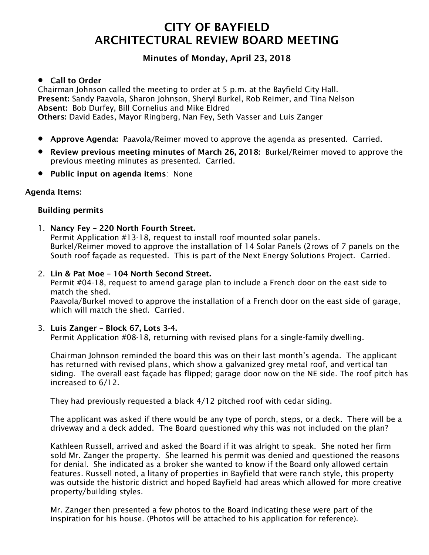# CITY OF BAYFIELD ARCHITECTURAL REVIEW BOARD MEETING

# Minutes of Monday, April 23, 2018

# Call to Order

Chairman Johnson called the meeting to order at 5 p.m. at the Bayfield City Hall. Present: Sandy Paavola, Sharon Johnson, Sheryl Burkel, Rob Reimer, and Tina Nelson Absent: Bob Durfey, Bill Cornelius and Mike Eldred Others: David Eades, Mayor Ringberg, Nan Fey, Seth Vasser and Luis Zanger

- Approve Agenda: Paavola/Reimer moved to approve the agenda as presented. Carried.
- Review previous meeting minutes of March 26, 2018: Burkel/Reimer moved to approve the previous meeting minutes as presented. Carried.
- Public input on agenda items: None

#### Agenda Items:

#### Building permits

- 1. Nancy Fey 220 North Fourth Street. Permit Application #13-18, request to install roof mounted solar panels. Burkel/Reimer moved to approve the installation of 14 Solar Panels (2rows of 7 panels on the South roof façade as requested. This is part of the Next Energy Solutions Project. Carried.
- 2. Lin & Pat Moe 104 North Second Street.

Permit #04-18, request to amend garage plan to include a French door on the east side to match the shed.

Paavola/Burkel moved to approve the installation of a French door on the east side of garage, which will match the shed. Carried.

# 3. Luis Zanger – Block 67, Lots 3-4.

Permit Application #08-18, returning with revised plans for a single-family dwelling.

Chairman Johnson reminded the board this was on their last month's agenda. The applicant has returned with revised plans, which show a galvanized grey metal roof, and vertical tan siding. The overall east façade has flipped; garage door now on the NE side. The roof pitch has increased to 6/12.

They had previously requested a black 4/12 pitched roof with cedar siding.

The applicant was asked if there would be any type of porch, steps, or a deck. There will be a driveway and a deck added. The Board questioned why this was not included on the plan?

Kathleen Russell, arrived and asked the Board if it was alright to speak. She noted her firm sold Mr. Zanger the property. She learned his permit was denied and questioned the reasons for denial. She indicated as a broker she wanted to know if the Board only allowed certain features. Russell noted, a litany of properties in Bayfield that were ranch style, this property was outside the historic district and hoped Bayfield had areas which allowed for more creative property/building styles.

Mr. Zanger then presented a few photos to the Board indicating these were part of the inspiration for his house. (Photos will be attached to his application for reference).